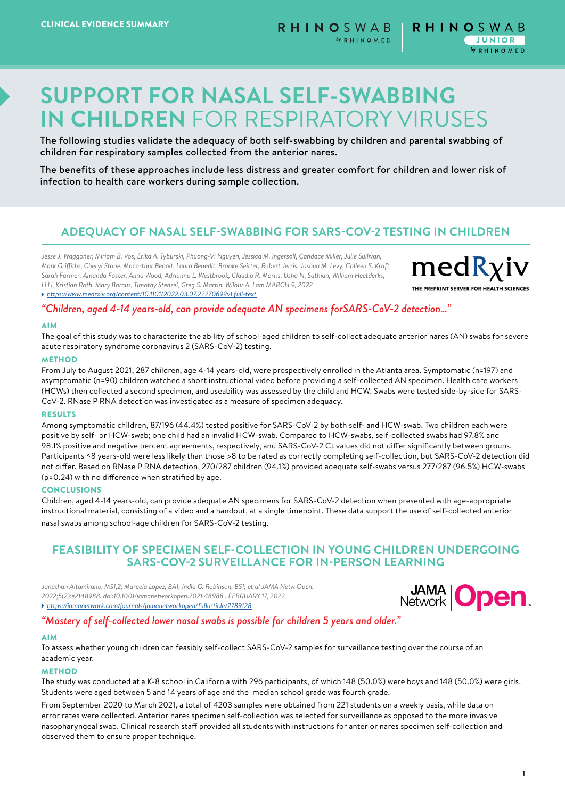# **SUPPORT FOR NASAL SELF-SWABBING IN CHILDREN** FOR RESPIRATORY VIRUSES

The following studies validate the adequacy of both self-swabbing by children and parental swabbing of children for respiratory samples collected from the anterior nares.

The benefits of these approaches include less distress and greater comfort for children and lower risk of infection to health care workers during sample collection.

# **ADEQUACY OF NASAL SELF-SWABBING FOR SARS-COV-2 TESTING IN CHILDREN**

*Jesse J. Waggoner, Miriam B. Vos, Erika A. Tyburski, Phuong-Vi Nguyen, Jessica M. Ingersoll, Candace Miller, Julie Sullivan, Mark Griffiths, Cheryl Stone, Macarthur Benoit, Laura Benedit, Brooke Seitter, Robert Jerris, Joshua M. Levy, Colleen S. Kraft, Sarah Farmer, Amanda Foster, Anna Wood, Adrianna L. Westbrook, Claudia R. Morris, Usha N. Sathian, William Heetderks, Li Li, Kristian Roth, Mary Barcus, Timothy Stenzel, Greg S. Martin, Wilbur A. Lam MARCH 9, 2022* 

 *<https://www.medrxiv.org/content/10.1101/2022.03.07.22270699v1.full-text>*

 $medR$ *xiv* THE PREPRINT SERVER FOR HEALTH SCIENCES

# *"Children, aged 4-14 years-old, can provide adequate AN specimens forSARS-CoV-2 detection…"*

#### AIM

The goal of this study was to characterize the ability of school-aged children to self-collect adequate anterior nares (AN) swabs for severe acute respiratory syndrome coronavirus 2 (SARS-CoV-2) testing.

#### **METHOD**

From July to August 2021, 287 children, age 4-14 years-old, were prospectively enrolled in the Atlanta area. Symptomatic (n=197) and asymptomatic (n=90) children watched a short instructional video before providing a self-collected AN specimen. Health care workers (HCWs) then collected a second specimen, and useability was assessed by the child and HCW. Swabs were tested side-by-side for SARS-CoV-2. RNase P RNA detection was investigated as a measure of specimen adequacy.

#### **DESULTS**

Among symptomatic children, 87/196 (44.4%) tested positive for SARS-CoV-2 by both self- and HCW-swab. Two children each were positive by self- or HCW-swab; one child had an invalid HCW-swab. Compared to HCW-swabs, self-collected swabs had 97.8% and 98.1% positive and negative percent agreements, respectively, and SARS-CoV-2 Ct values did not differ significantly between groups. Participants ≤8 years-old were less likely than those >8 to be rated as correctly completing self-collection, but SARS-CoV-2 detection did not differ. Based on RNase P RNA detection, 270/287 children (94.1%) provided adequate self-swabs versus 277/287 (96.5%) HCW-swabs (p=0.24) with no difference when stratified by age.

#### **CONCLUSIONS**

Children, aged 4-14 years-old, can provide adequate AN specimens for SARS-CoV-2 detection when presented with age-appropriate instructional material, consisting of a video and a handout, at a single timepoint. These data support the use of self-collected anterior nasal swabs among school-age children for SARS-CoV-2 testing.

# **FEASIBILITY OF SPECIMEN SELF-COLLECTION IN YOUNG CHILDREN UNDERGOING SARS-COV-2 SURVEILLANCE FOR IN-PERSON LEARNING**

*Jonathan Altamirano, MS1,2; Marcela Lopez, BA1; India G. Robinson, BS1; et al JAMA Netw Open. 2022;5(2):e2148988. doi:10.1001/jamanetworkopen.2021.48988 . FEBRUARY 17, 2022 <https://jamanetwork.com/journals/jamanetworkopen/fullarticle/2789128>*



## *"Mastery of self-collected lower nasal swabs is possible for children 5 years and older."*

#### AIM

To assess whether young children can feasibly self-collect SARS-CoV-2 samples for surveillance testing over the course of an academic year.

#### **METHOD**

The study was conducted at a K-8 school in California with 296 participants, of which 148 (50.0%) were boys and 148 (50.0%) were girls. Students were aged between 5 and 14 years of age and the median school grade was fourth grade.

From September 2020 to March 2021, a total of 4203 samples were obtained from 221 students on a weekly basis, while data on error rates were collected. Anterior nares specimen self-collection was selected for surveillance as opposed to the more invasive nasopharyngeal swab. Clinical research staff provided all students with instructions for anterior nares specimen self-collection and observed them to ensure proper technique.